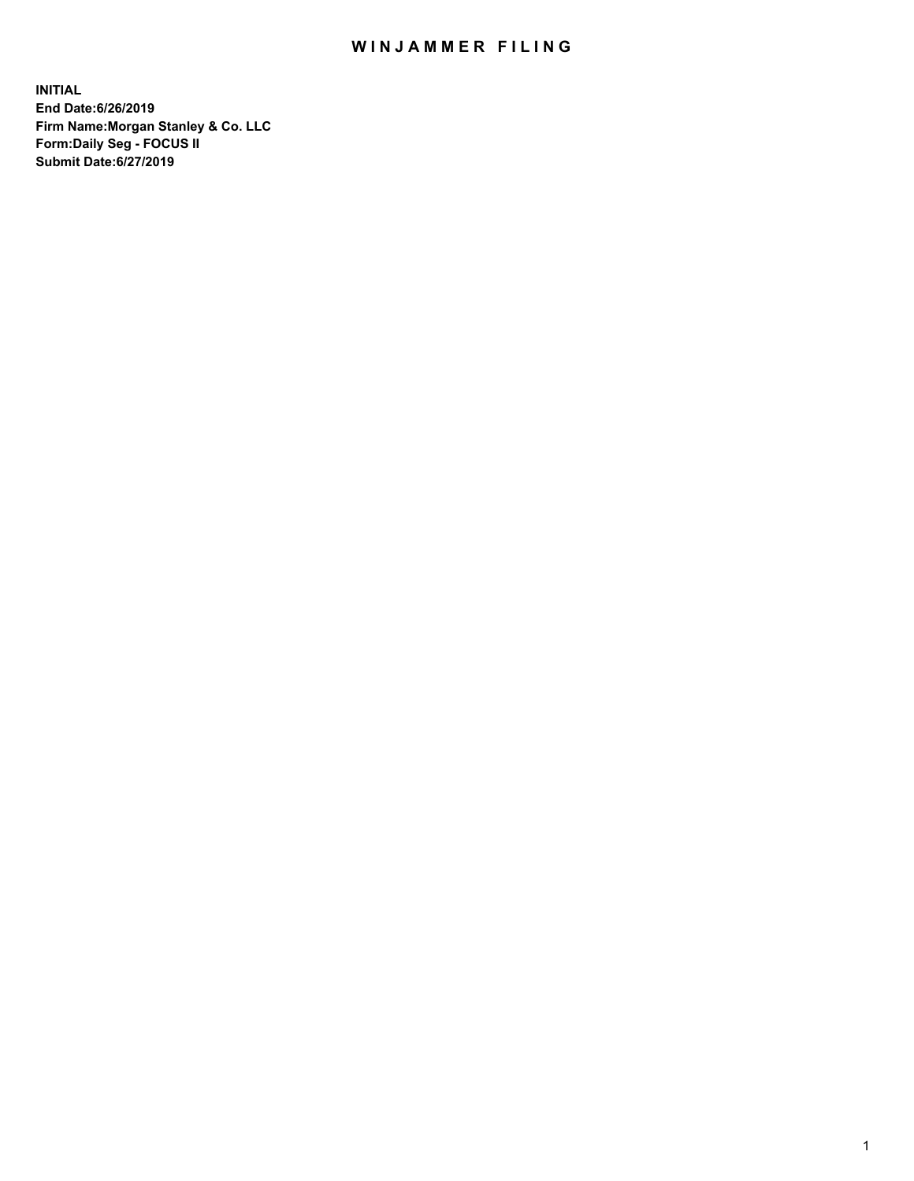## WIN JAMMER FILING

**INITIAL End Date:6/26/2019 Firm Name:Morgan Stanley & Co. LLC Form:Daily Seg - FOCUS II Submit Date:6/27/2019**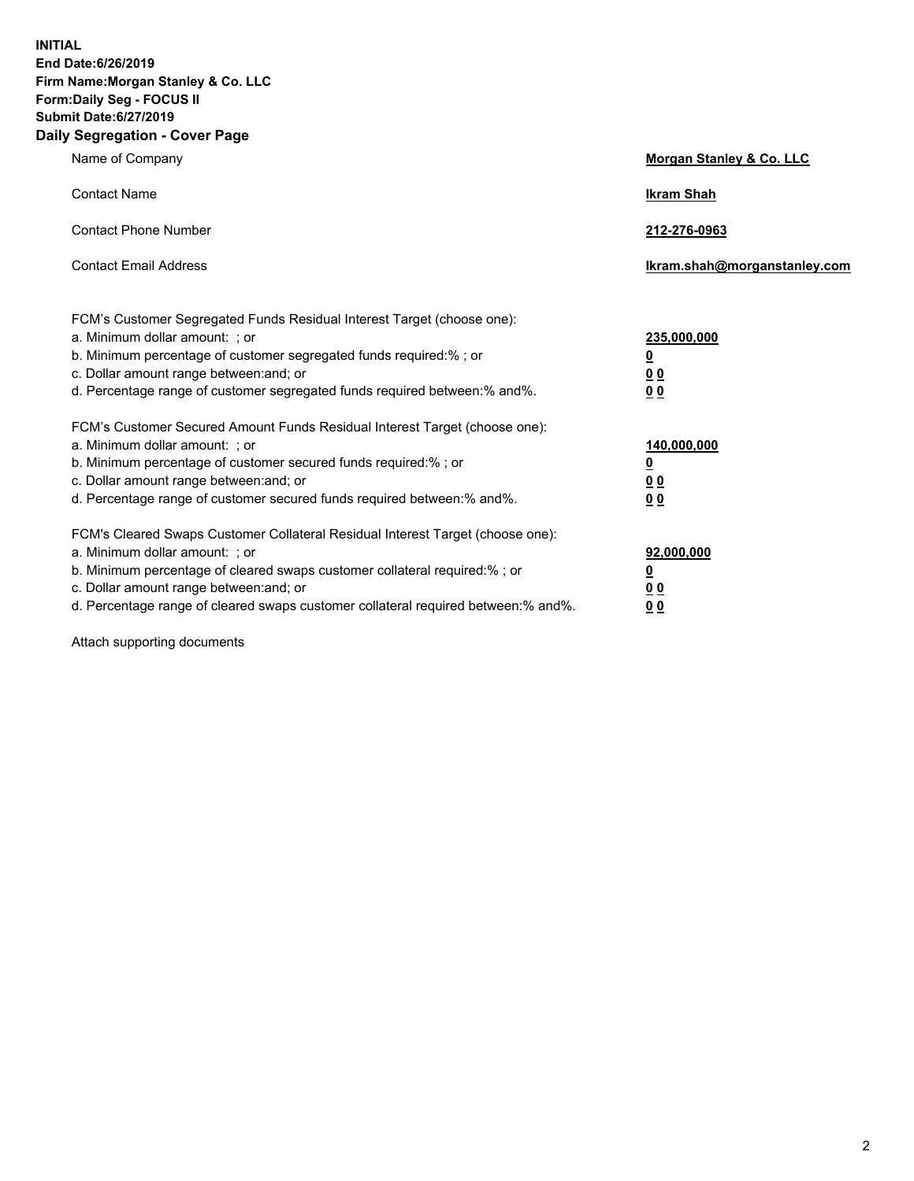**INITIAL End Date:6/26/2019 Firm Name:Morgan Stanley & Co. LLC Form:Daily Seg - FOCUS II Submit Date:6/27/2019 Daily Segregation - Cover Page**

| Name of Company                                                                                                                                                                                                                                                                                                                | Morgan Stanley & Co. LLC                                    |
|--------------------------------------------------------------------------------------------------------------------------------------------------------------------------------------------------------------------------------------------------------------------------------------------------------------------------------|-------------------------------------------------------------|
| <b>Contact Name</b>                                                                                                                                                                                                                                                                                                            | <b>Ikram Shah</b>                                           |
| <b>Contact Phone Number</b>                                                                                                                                                                                                                                                                                                    | 212-276-0963                                                |
| <b>Contact Email Address</b>                                                                                                                                                                                                                                                                                                   | Ikram.shah@morganstanley.com                                |
| FCM's Customer Segregated Funds Residual Interest Target (choose one):<br>a. Minimum dollar amount: : or<br>b. Minimum percentage of customer segregated funds required:% ; or<br>c. Dollar amount range between: and; or<br>d. Percentage range of customer segregated funds required between: % and %.                       | 235,000,000<br><u>0</u><br>00<br>00                         |
| FCM's Customer Secured Amount Funds Residual Interest Target (choose one):<br>a. Minimum dollar amount: ; or<br>b. Minimum percentage of customer secured funds required:%; or<br>c. Dollar amount range between: and; or<br>d. Percentage range of customer secured funds required between:% and%.                            | 140,000,000<br><u>0</u><br>0 <sub>0</sub><br>0 <sub>0</sub> |
| FCM's Cleared Swaps Customer Collateral Residual Interest Target (choose one):<br>a. Minimum dollar amount: ; or<br>b. Minimum percentage of cleared swaps customer collateral required:% ; or<br>c. Dollar amount range between: and; or<br>d. Percentage range of cleared swaps customer collateral required between:% and%. | 92,000,000<br><u>0</u><br><u>00</u><br>0 <sub>0</sub>       |

Attach supporting documents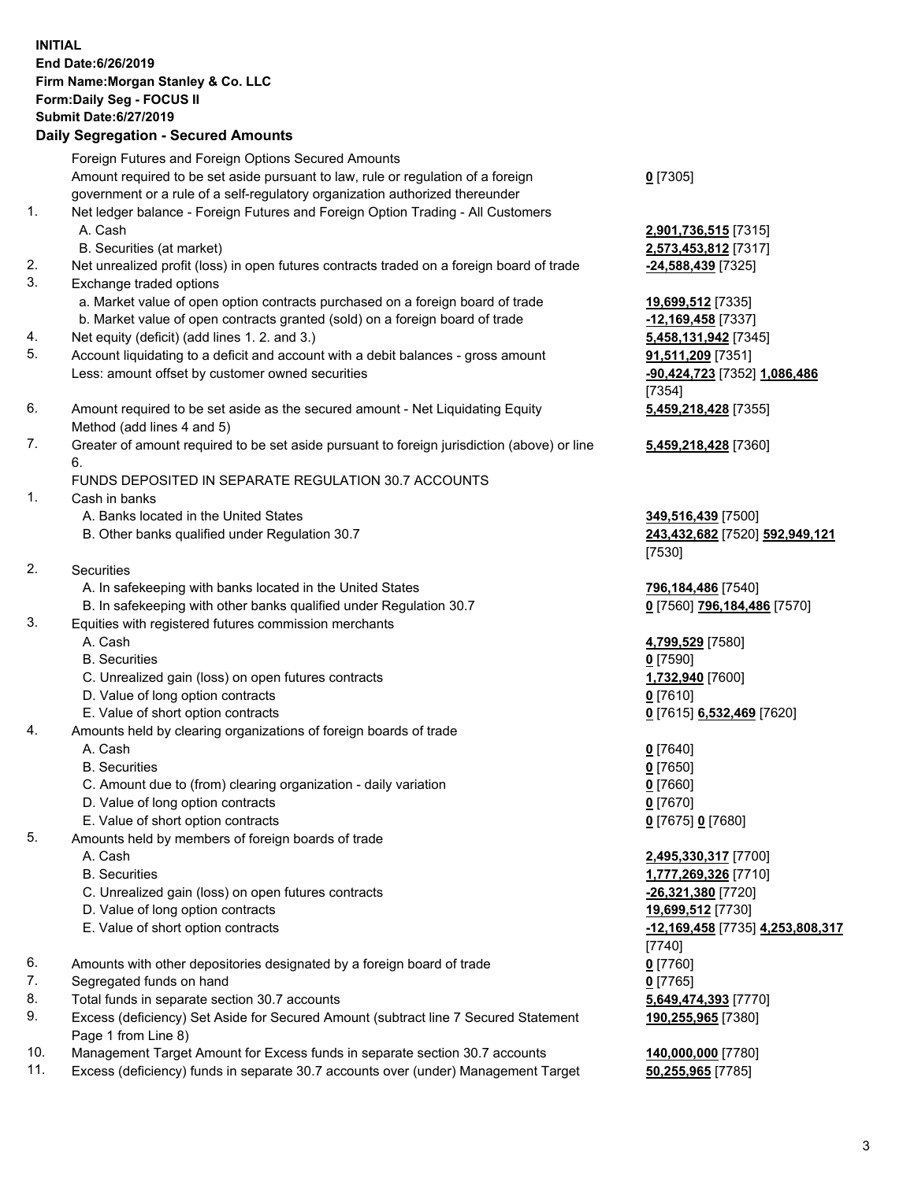## **INITIAL End Date:6/26/2019 Firm Name:Morgan Stanley & Co. LLC Form:Daily Seg - FOCUS II Submit Date:6/27/2019 Daily Segregation - Secured Amounts** Foreign Futures and Foreign Options Secured Amounts Amount required to be set aside pursuant to law, rule or regulation of a foreign government or a rule of a self-regulatory organization authorized thereunder **0** [7305] 1. Net ledger balance - Foreign Futures and Foreign Option Trading - All Customers A. Cash **2,901,736,515** [7315] B. Securities (at market) **2,573,453,812** [7317] 2. Net unrealized profit (loss) in open futures contracts traded on a foreign board of trade **-24,588,439** [7325] 3. Exchange traded options a. Market value of open option contracts purchased on a foreign board of trade **19,699,512** [7335] b. Market value of open contracts granted (sold) on a foreign board of trade **-12,169,458** [7337] 4. Net equity (deficit) (add lines 1. 2. and 3.) **5,458,131,942** [7345] 5. Account liquidating to a deficit and account with a debit balances - gross amount **91,511,209** [7351] Less: amount offset by customer owned securities **-90,424,723** [7352] **1,086,486** [7354] 6. Amount required to be set aside as the secured amount - Net Liquidating Equity Method (add lines 4 and 5) **5,459,218,428** [7355] 7. Greater of amount required to be set aside pursuant to foreign jurisdiction (above) or line 6. **5,459,218,428** [7360] FUNDS DEPOSITED IN SEPARATE REGULATION 30.7 ACCOUNTS 1. Cash in banks A. Banks located in the United States **349,516,439** [7500] B. Other banks qualified under Regulation 30.7 **243,432,682** [7520] **592,949,121** [7530] 2. Securities A. In safekeeping with banks located in the United States **796,184,486** [7540] B. In safekeeping with other banks qualified under Regulation 30.7 **0** [7560] **796,184,486** [7570] 3. Equities with registered futures commission merchants A. Cash **4,799,529** [7580] B. Securities **0** [7590] C. Unrealized gain (loss) on open futures contracts **1,732,940** [7600] D. Value of long option contracts **0** [7610] E. Value of short option contracts **0** [7615] **6,532,469** [7620] 4. Amounts held by clearing organizations of foreign boards of trade A. Cash **0** [7640] B. Securities **0** [7650] C. Amount due to (from) clearing organization - daily variation **0** [7660] D. Value of long option contracts **0** [7670] E. Value of short option contracts **0** [7675] **0** [7680] 5. Amounts held by members of foreign boards of trade A. Cash **2,495,330,317** [7700] B. Securities **1,777,269,326** [7710] C. Unrealized gain (loss) on open futures contracts **-26,321,380** [7720] D. Value of long option contracts **19,699,512** [7730] E. Value of short option contracts **-12,169,458** [7735] **4,253,808,317** [7740] 6. Amounts with other depositories designated by a foreign board of trade **0** [7760] 7. Segregated funds on hand **0** [7765] 8. Total funds in separate section 30.7 accounts **5,649,474,393** [7770] 9. Excess (deficiency) Set Aside for Secured Amount (subtract line 7 Secured Statement Page 1 from Line 8) **190,255,965** [7380]

- 10. Management Target Amount for Excess funds in separate section 30.7 accounts **140,000,000** [7780]
- 11. Excess (deficiency) funds in separate 30.7 accounts over (under) Management Target **50,255,965** [7785]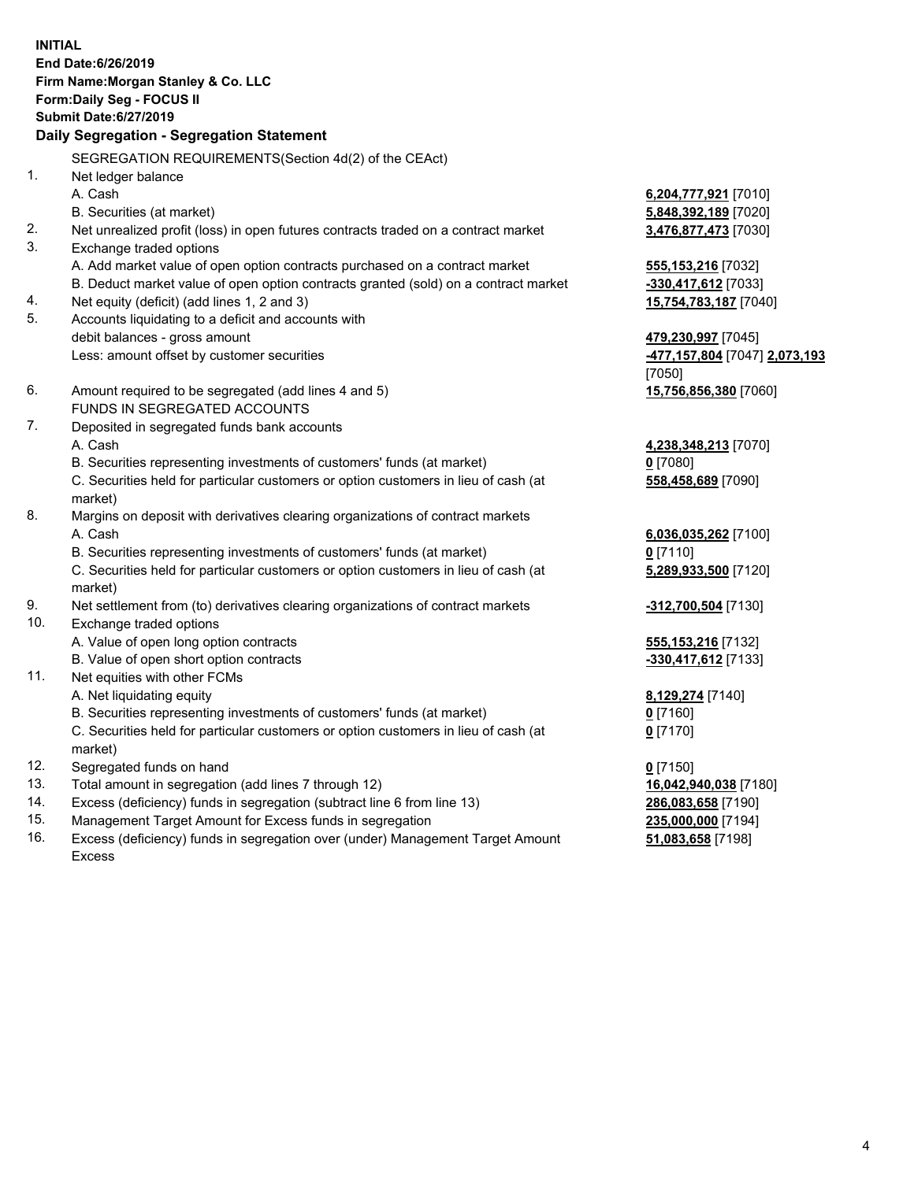**INITIAL End Date:6/26/2019 Firm Name:Morgan Stanley & Co. LLC Form:Daily Seg - FOCUS II Submit Date:6/27/2019 Daily Segregation - Segregation Statement** SEGREGATION REQUIREMENTS(Section 4d(2) of the CEAct) 1. Net ledger balance A. Cash **6,204,777,921** [7010] B. Securities (at market) **5,848,392,189** [7020] 2. Net unrealized profit (loss) in open futures contracts traded on a contract market **3,476,877,473** [7030] 3. Exchange traded options A. Add market value of open option contracts purchased on a contract market **555,153,216** [7032] B. Deduct market value of open option contracts granted (sold) on a contract market **-330,417,612** [7033] 4. Net equity (deficit) (add lines 1, 2 and 3) **15,754,783,187** [7040] 5. Accounts liquidating to a deficit and accounts with debit balances - gross amount **479,230,997** [7045] Less: amount offset by customer securities **-477,157,804** [7047] **2,073,193** [7050] 6. Amount required to be segregated (add lines 4 and 5) **15,756,856,380** [7060] FUNDS IN SEGREGATED ACCOUNTS 7. Deposited in segregated funds bank accounts A. Cash **4,238,348,213** [7070] B. Securities representing investments of customers' funds (at market) **0** [7080] C. Securities held for particular customers or option customers in lieu of cash (at market) **558,458,689** [7090] 8. Margins on deposit with derivatives clearing organizations of contract markets A. Cash **6,036,035,262** [7100] B. Securities representing investments of customers' funds (at market) **0** [7110] C. Securities held for particular customers or option customers in lieu of cash (at market) **5,289,933,500** [7120] 9. Net settlement from (to) derivatives clearing organizations of contract markets **-312,700,504** [7130] 10. Exchange traded options A. Value of open long option contracts **555,153,216** [7132] B. Value of open short option contracts **-330,417,612** [7133] 11. Net equities with other FCMs A. Net liquidating equity **8,129,274** [7140] B. Securities representing investments of customers' funds (at market) **0** [7160] C. Securities held for particular customers or option customers in lieu of cash (at market) **0** [7170] 12. Segregated funds on hand **0** [7150] 13. Total amount in segregation (add lines 7 through 12) **16,042,940,038** [7180] 14. Excess (deficiency) funds in segregation (subtract line 6 from line 13) **286,083,658** [7190]

- 15. Management Target Amount for Excess funds in segregation **235,000,000** [7194]
- 16. Excess (deficiency) funds in segregation over (under) Management Target Amount Excess

**51,083,658** [7198]